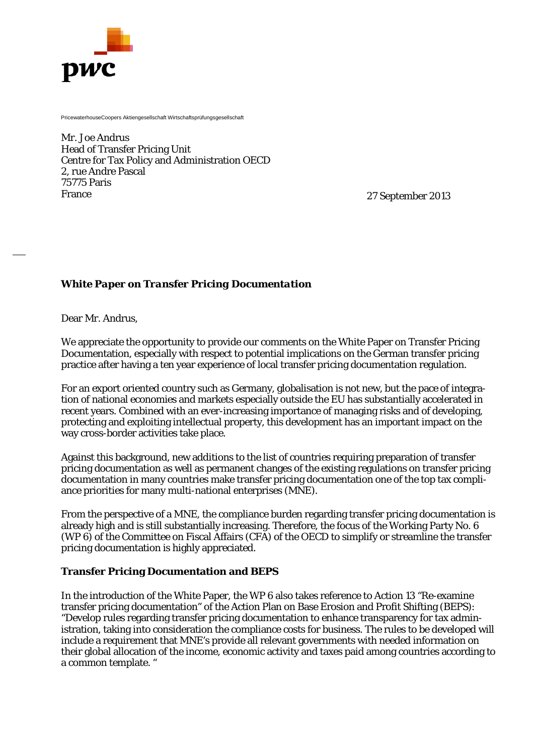

PricewaterhouseCoopers Aktiengesellschaft Wirtschaftsprüfungsgesellschaft

Mr. Joe Andrus Head of Transfer Pricing Unit Centre for Tax Policy and Administration OECD 2, rue Andre Pascal 75775 Paris France

27 September 2013

# *White Paper on Transfer Pricing Documentation*

Dear Mr. Andrus,

We appreciate the opportunity to provide our comments on the White Paper on Transfer Pricing Documentation, especially with respect to potential implications on the German transfer pricing practice after having a ten year experience of local transfer pricing documentation regulation.

For an export oriented country such as Germany, globalisation is not new, but the pace of integration of national economies and markets especially outside the EU has substantially accelerated in recent years. Combined with an ever-increasing importance of managing risks and of developing, protecting and exploiting intellectual property, this development has an important impact on the way cross-border activities take place.

Against this background, new additions to the list of countries requiring preparation of transfer pricing documentation as well as permanent changes of the existing regulations on transfer pricing documentation in many countries make transfer pricing documentation one of the top tax compliance priorities for many multi-national enterprises (MNE).

From the perspective of a MNE, the compliance burden regarding transfer pricing documentation is already high and is still substantially increasing. Therefore, the focus of the Working Party No. 6 (WP 6) of the Committee on Fiscal Affairs (CFA) of the OECD to simplify or streamline the transfer pricing documentation is highly appreciated.

### **Transfer Pricing Documentation and BEPS**

In the introduction of the White Paper, the WP 6 also takes reference to Action 13 "Re-examine transfer pricing documentation" of the Action Plan on Base Erosion and Profit Shifting (BEPS): "Develop rules regarding transfer pricing documentation to enhance transparency for tax administration, taking into consideration the compliance costs for business. The rules to be developed will include a requirement that MNE's provide all relevant governments with needed information on their global allocation of the income, economic activity and taxes paid among countries according to a common template. "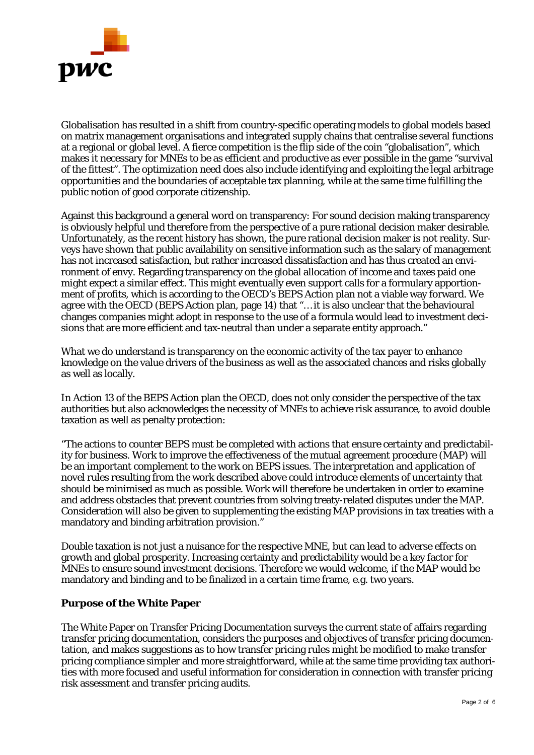

Globalisation has resulted in a shift from country-specific operating models to global models based on matrix management organisations and integrated supply chains that centralise several functions at a regional or global level. A fierce competition is the flip side of the coin "globalisation", which makes it necessary for MNEs to be as efficient and productive as ever possible in the game "survival of the fittest". The optimization need does also include identifying and exploiting the legal arbitrage opportunities and the boundaries of acceptable tax planning, while at the same time fulfilling the public notion of good corporate citizenship.

Against this background a general word on transparency: For sound decision making transparency is obviously helpful und therefore from the perspective of a pure rational decision maker desirable. Unfortunately, as the recent history has shown, the pure rational decision maker is not reality. Surveys have shown that public availability on sensitive information such as the salary of management has not increased satisfaction, but rather increased dissatisfaction and has thus created an environment of envy. Regarding transparency on the global allocation of income and taxes paid one might expect a similar effect. This might eventually even support calls for a formulary apportionment of profits, which is according to the OECD's BEPS Action plan not a viable way forward. We agree with the OECD (BEPS Action plan, page 14) that "… it is also unclear that the behavioural changes companies might adopt in response to the use of a formula would lead to investment decisions that are more efficient and tax-neutral than under a separate entity approach."

What we do understand is transparency on the economic activity of the tax payer to enhance knowledge on the value drivers of the business as well as the associated chances and risks globally as well as locally.

In Action 13 of the BEPS Action plan the OECD, does not only consider the perspective of the tax authorities but also acknowledges the necessity of MNEs to achieve risk assurance, to avoid double taxation as well as penalty protection:

"The actions to counter BEPS must be completed with actions that ensure certainty and predictability for business. Work to improve the effectiveness of the mutual agreement procedure (MAP) will be an important complement to the work on BEPS issues. The interpretation and application of novel rules resulting from the work described above could introduce elements of uncertainty that should be minimised as much as possible. Work will therefore be undertaken in order to examine and address obstacles that prevent countries from solving treaty-related disputes under the MAP. Consideration will also be given to supplementing the existing MAP provisions in tax treaties with a mandatory and binding arbitration provision."

Double taxation is not just a nuisance for the respective MNE, but can lead to adverse effects on growth and global prosperity. Increasing certainty and predictability would be a key factor for MNEs to ensure sound investment decisions. Therefore we would welcome, if the MAP would be mandatory and binding and to be finalized in a certain time frame, e.g. two years.

# **Purpose of the White Paper**

The White Paper on Transfer Pricing Documentation surveys the current state of affairs regarding transfer pricing documentation, considers the purposes and objectives of transfer pricing documentation, and makes suggestions as to how transfer pricing rules might be modified to make transfer pricing compliance simpler and more straightforward, while at the same time providing tax authorities with more focused and useful information for consideration in connection with transfer pricing risk assessment and transfer pricing audits.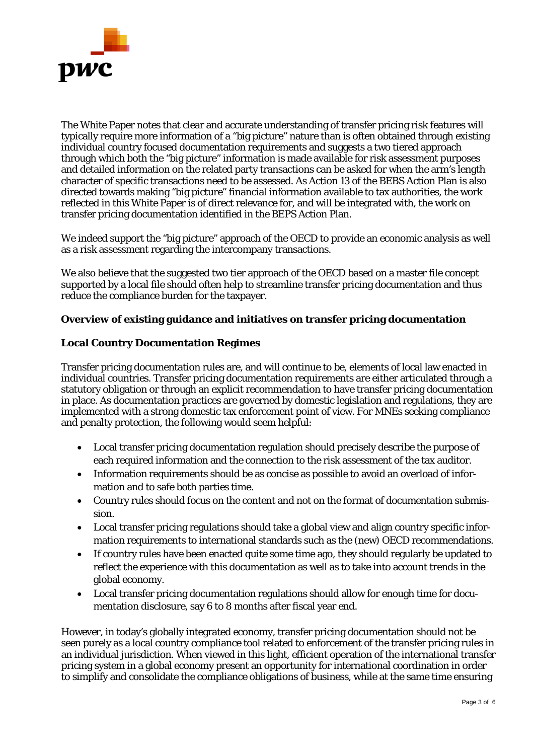

The White Paper notes that clear and accurate understanding of transfer pricing risk features will typically require more information of a "big picture" nature than is often obtained through existing individual country focused documentation requirements and suggests a two tiered approach through which both the "big picture" information is made available for risk assessment purposes and detailed information on the related party transactions can be asked for when the arm's length character of specific transactions need to be assessed. As Action 13 of the BEBS Action Plan is also directed towards making "big picture" financial information available to tax authorities, the work reflected in this White Paper is of direct relevance for, and will be integrated with, the work on transfer pricing documentation identified in the BEPS Action Plan.

We indeed support the "big picture" approach of the OECD to provide an economic analysis as well as a risk assessment regarding the intercompany transactions.

We also believe that the suggested two tier approach of the OECD based on a master file concept supported by a local file should often help to streamline transfer pricing documentation and thus reduce the compliance burden for the taxpayer.

# **Overview of existing guidance and initiatives on transfer pricing documentation**

### **Local Country Documentation Regimes**

Transfer pricing documentation rules are, and will continue to be, elements of local law enacted in individual countries. Transfer pricing documentation requirements are either articulated through a statutory obligation or through an explicit recommendation to have transfer pricing documentation in place. As documentation practices are governed by domestic legislation and regulations, they are implemented with a strong domestic tax enforcement point of view. For MNEs seeking compliance and penalty protection, the following would seem helpful:

- Local transfer pricing documentation regulation should precisely describe the purpose of each required information and the connection to the risk assessment of the tax auditor.
- Information requirements should be as concise as possible to avoid an overload of information and to safe both parties time.
- Country rules should focus on the content and not on the format of documentation submission.
- Local transfer pricing regulations should take a global view and align country specific information requirements to international standards such as the (new) OECD recommendations.
- If country rules have been enacted quite some time ago, they should regularly be updated to reflect the experience with this documentation as well as to take into account trends in the global economy.
- Local transfer pricing documentation regulations should allow for enough time for documentation disclosure, say 6 to 8 months after fiscal year end.

However, in today's globally integrated economy, transfer pricing documentation should not be seen purely as a local country compliance tool related to enforcement of the transfer pricing rules in an individual jurisdiction. When viewed in this light, efficient operation of the international transfer pricing system in a global economy present an opportunity for international coordination in order to simplify and consolidate the compliance obligations of business, while at the same time ensuring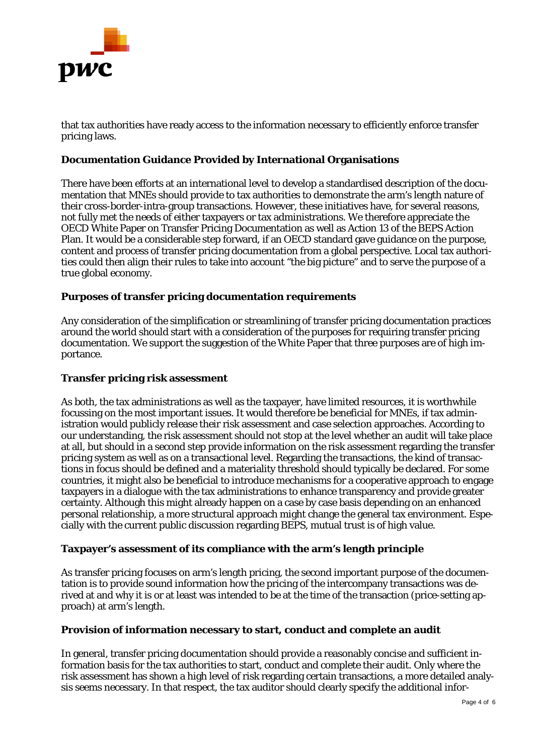

that tax authorities have ready access to the information necessary to efficiently enforce transfer pricing laws.

# **Documentation Guidance Provided by International Organisations**

There have been efforts at an international level to develop a standardised description of the documentation that MNEs should provide to tax authorities to demonstrate the arm's length nature of their cross-border-intra-group transactions. However, these initiatives have, for several reasons, not fully met the needs of either taxpayers or tax administrations. We therefore appreciate the OECD White Paper on Transfer Pricing Documentation as well as Action 13 of the BEPS Action Plan. It would be a considerable step forward, if an OECD standard gave guidance on the purpose, content and process of transfer pricing documentation from a global perspective. Local tax authorities could then align their rules to take into account "the big picture" and to serve the purpose of a true global economy.

### **Purposes of transfer pricing documentation requirements**

Any consideration of the simplification or streamlining of transfer pricing documentation practices around the world should start with a consideration of the purposes for requiring transfer pricing documentation. We support the suggestion of the White Paper that three purposes are of high importance.

#### **Transfer pricing risk assessment**

As both, the tax administrations as well as the taxpayer, have limited resources, it is worthwhile focussing on the most important issues. It would therefore be beneficial for MNEs, if tax administration would publicly release their risk assessment and case selection approaches. According to our understanding, the risk assessment should not stop at the level whether an audit will take place at all, but should in a second step provide information on the risk assessment regarding the transfer pricing system as well as on a transactional level. Regarding the transactions, the kind of transactions in focus should be defined and a materiality threshold should typically be declared. For some countries, it might also be beneficial to introduce mechanisms for a cooperative approach to engage taxpayers in a dialogue with the tax administrations to enhance transparency and provide greater certainty. Although this might already happen on a case by case basis depending on an enhanced personal relationship, a more structural approach might change the general tax environment. Especially with the current public discussion regarding BEPS, mutual trust is of high value.

#### **Taxpayer's assessment of its compliance with the arm's length principle**

As transfer pricing focuses on arm's length pricing, the second important purpose of the documentation is to provide sound information how the pricing of the intercompany transactions was derived at and why it is or at least was intended to be at the time of the transaction (price-setting approach) at arm's length.

#### **Provision of information necessary to start, conduct and complete an audit**

In general, transfer pricing documentation should provide a reasonably concise and sufficient information basis for the tax authorities to start, conduct and complete their audit. Only where the risk assessment has shown a high level of risk regarding certain transactions, a more detailed analysis seems necessary. In that respect, the tax auditor should clearly specify the additional infor-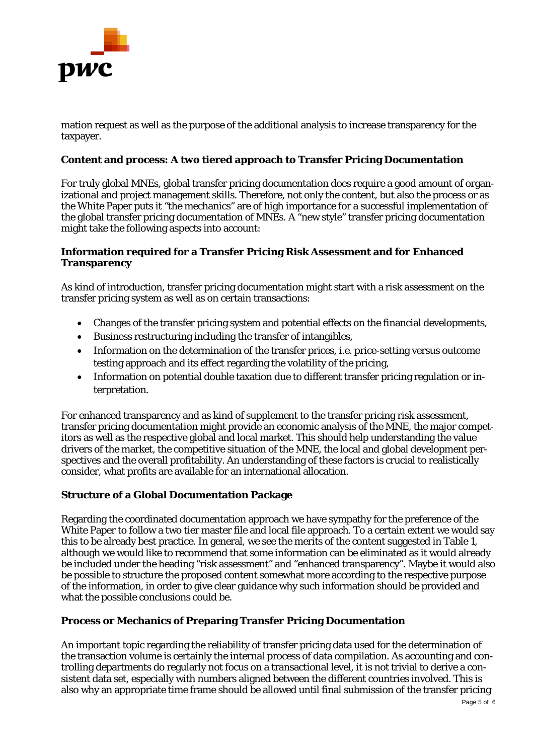

mation request as well as the purpose of the additional analysis to increase transparency for the taxpayer.

# **Content and process: A two tiered approach to Transfer Pricing Documentation**

For truly global MNEs, global transfer pricing documentation does require a good amount of organizational and project management skills. Therefore, not only the content, but also the process or as the White Paper puts it "the mechanics" are of high importance for a successful implementation of the global transfer pricing documentation of MNEs. A "new style" transfer pricing documentation might take the following aspects into account:

# **Information required for a Transfer Pricing Risk Assessment and for Enhanced Transparency**

As kind of introduction, transfer pricing documentation might start with a risk assessment on the transfer pricing system as well as on certain transactions:

- Changes of the transfer pricing system and potential effects on the financial developments,
- Business restructuring including the transfer of intangibles,
- Information on the determination of the transfer prices, i.e. price-setting versus outcome testing approach and its effect regarding the volatility of the pricing,
- Information on potential double taxation due to different transfer pricing regulation or interpretation.

For enhanced transparency and as kind of supplement to the transfer pricing risk assessment, transfer pricing documentation might provide an economic analysis of the MNE, the major competitors as well as the respective global and local market. This should help understanding the value drivers of the market, the competitive situation of the MNE, the local and global development perspectives and the overall profitability. An understanding of these factors is crucial to realistically consider, what profits are available for an international allocation.

# **Structure of a Global Documentation Package**

Regarding the coordinated documentation approach we have sympathy for the preference of the White Paper to follow a two tier master file and local file approach. To a certain extent we would say this to be already best practice. In general, we see the merits of the content suggested in Table 1, although we would like to recommend that some information can be eliminated as it would already be included under the heading "risk assessment" and "enhanced transparency". Maybe it would also be possible to structure the proposed content somewhat more according to the respective purpose of the information, in order to give clear guidance why such information should be provided and what the possible conclusions could be.

# **Process or Mechanics of Preparing Transfer Pricing Documentation**

An important topic regarding the reliability of transfer pricing data used for the determination of the transaction volume is certainly the internal process of data compilation. As accounting and controlling departments do regularly not focus on a transactional level, it is not trivial to derive a consistent data set, especially with numbers aligned between the different countries involved. This is also why an appropriate time frame should be allowed until final submission of the transfer pricing